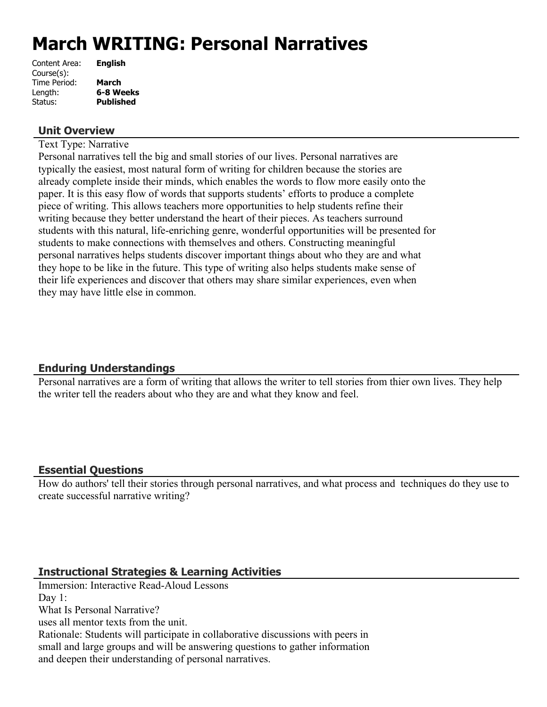# **March WRITING: Personal Narratives**

| Content Area: | <b>English</b>   |
|---------------|------------------|
| Course(s):    |                  |
| Time Period:  | <b>March</b>     |
| Length:       | 6-8 Weeks        |
| Status:       | <b>Published</b> |
|               |                  |

## **Unit Overview**

Text Type: Narrative

Personal narratives tell the big and small stories of our lives. Personal narratives are typically the easiest, most natural form of writing for children because the stories are already complete inside their minds, which enables the words to flow more easily onto the paper. It is this easy flow of words that supports students' efforts to produce a complete piece of writing. This allows teachers more opportunities to help students refine their writing because they better understand the heart of their pieces. As teachers surround students with this natural, life-enriching genre, wonderful opportunities will be presented for students to make connections with themselves and others. Constructing meaningful personal narratives helps students discover important things about who they are and what they hope to be like in the future. This type of writing also helps students make sense of their life experiences and discover that others may share similar experiences, even when they may have little else in common.

## **Enduring Understandings**

Personal narratives are a form of writing that allows the writer to tell stories from thier own lives. They help the writer tell the readers about who they are and what they know and feel.

## **Essential Questions**

How do authors' tell their stories through personal narratives, and what process and techniques do they use to create successful narrative writing?

## **Instructional Strategies & Learning Activities**

Immersion: Interactive Read-Aloud Lessons Day 1: What Is Personal Narrative? uses all mentor texts from the unit. Rationale: Students will participate in collaborative discussions with peers in small and large groups and will be answering questions to gather information and deepen their understanding of personal narratives.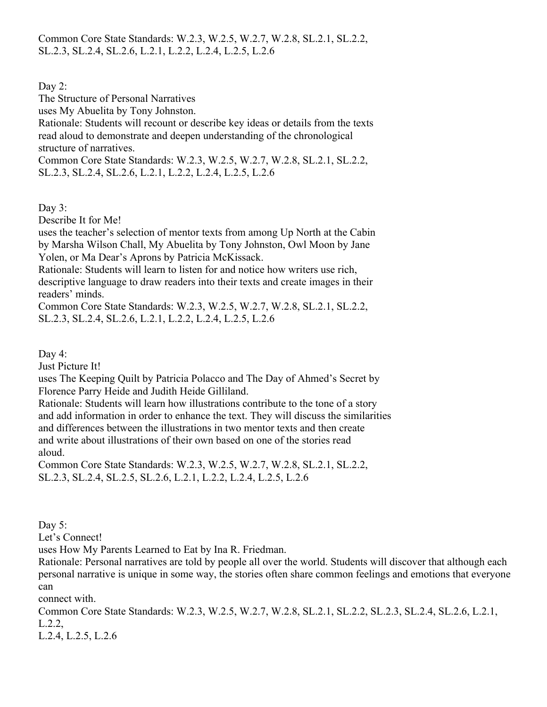Common Core State Standards: W.2.3, W.2.5, W.2.7, W.2.8, SL.2.1, SL.2.2, SL.2.3, SL.2.4, SL.2.6, L.2.1, L.2.2, L.2.4, L.2.5, L.2.6

Day 2:

The Structure of Personal Narratives

uses My Abuelita by Tony Johnston.

Rationale: Students will recount or describe key ideas or details from the texts read aloud to demonstrate and deepen understanding of the chronological structure of narratives.

Common Core State Standards: W.2.3, W.2.5, W.2.7, W.2.8, SL.2.1, SL.2.2, SL.2.3, SL.2.4, SL.2.6, L.2.1, L.2.2, L.2.4, L.2.5, L.2.6

Day 3:

Describe It for Me!

uses the teacher's selection of mentor texts from among Up North at the Cabin by Marsha Wilson Chall, My Abuelita by Tony Johnston, Owl Moon by Jane Yolen, or Ma Dear's Aprons by Patricia McKissack.

Rationale: Students will learn to listen for and notice how writers use rich, descriptive language to draw readers into their texts and create images in their readers' minds.

Common Core State Standards: W.2.3, W.2.5, W.2.7, W.2.8, SL.2.1, SL.2.2, SL.2.3, SL.2.4, SL.2.6, L.2.1, L.2.2, L.2.4, L.2.5, L.2.6

Day 4:

Just Picture It!

uses The Keeping Quilt by Patricia Polacco and The Day of Ahmed's Secret by Florence Parry Heide and Judith Heide Gilliland.

Rationale: Students will learn how illustrations contribute to the tone of a story and add information in order to enhance the text. They will discuss the similarities and differences between the illustrations in two mentor texts and then create and write about illustrations of their own based on one of the stories read aloud.

Common Core State Standards: W.2.3, W.2.5, W.2.7, W.2.8, SL.2.1, SL.2.2, SL.2.3, SL.2.4, SL.2.5, SL.2.6, L.2.1, L.2.2, L.2.4, L.2.5, L.2.6

Day 5:

Let's Connect!

uses How My Parents Learned to Eat by Ina R. Friedman.

Rationale: Personal narratives are told by people all over the world. Students will discover that although each personal narrative is unique in some way, the stories often share common feelings and emotions that everyone can

connect with.

Common Core State Standards: W.2.3, W.2.5, W.2.7, W.2.8, SL.2.1, SL.2.2, SL.2.3, SL.2.4, SL.2.6, L.2.1, L.2.2,

L.2.4, L.2.5, L.2.6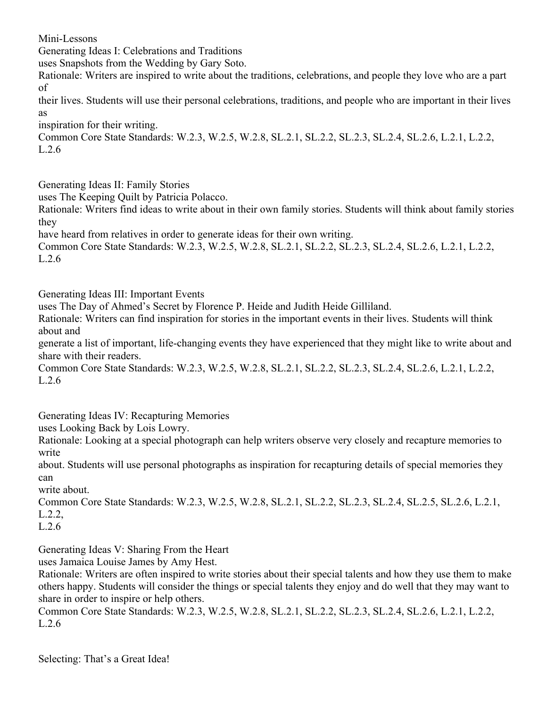Mini-Lessons

Generating Ideas I: Celebrations and Traditions

uses Snapshots from the Wedding by Gary Soto.

Rationale: Writers are inspired to write about the traditions, celebrations, and people they love who are a part of

their lives. Students will use their personal celebrations, traditions, and people who are important in their lives as

inspiration for their writing.

Common Core State Standards: W.2.3, W.2.5, W.2.8, SL.2.1, SL.2.2, SL.2.3, SL.2.4, SL.2.6, L.2.1, L.2.2, L.2.6

Generating Ideas II: Family Stories

uses The Keeping Quilt by Patricia Polacco.

Rationale: Writers find ideas to write about in their own family stories. Students will think about family stories they

have heard from relatives in order to generate ideas for their own writing.

Common Core State Standards: W.2.3, W.2.5, W.2.8, SL.2.1, SL.2.2, SL.2.3, SL.2.4, SL.2.6, L.2.1, L.2.2, L.2.6

Generating Ideas III: Important Events

uses The Day of Ahmed's Secret by Florence P. Heide and Judith Heide Gilliland.

Rationale: Writers can find inspiration for stories in the important events in their lives. Students will think about and

generate a list of important, life-changing events they have experienced that they might like to write about and share with their readers.

Common Core State Standards: W.2.3, W.2.5, W.2.8, SL.2.1, SL.2.2, SL.2.3, SL.2.4, SL.2.6, L.2.1, L.2.2, L.2.6

Generating Ideas IV: Recapturing Memories

uses Looking Back by Lois Lowry.

Rationale: Looking at a special photograph can help writers observe very closely and recapture memories to write

about. Students will use personal photographs as inspiration for recapturing details of special memories they can

write about.

Common Core State Standards: W.2.3, W.2.5, W.2.8, SL.2.1, SL.2.2, SL.2.3, SL.2.4, SL.2.5, SL.2.6, L.2.1, L.2.2,

L.2.6

Generating Ideas V: Sharing From the Heart

uses Jamaica Louise James by Amy Hest.

Rationale: Writers are often inspired to write stories about their special talents and how they use them to make others happy. Students will consider the things or special talents they enjoy and do well that they may want to share in order to inspire or help others.

Common Core State Standards: W.2.3, W.2.5, W.2.8, SL.2.1, SL.2.2, SL.2.3, SL.2.4, SL.2.6, L.2.1, L.2.2, L.2.6

Selecting: That's a Great Idea!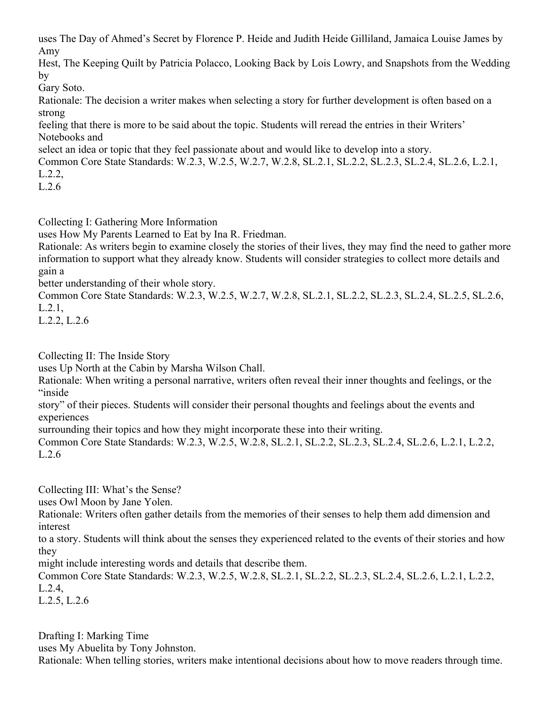uses The Day of Ahmed's Secret by Florence P. Heide and Judith Heide Gilliland, Jamaica Louise James by Amy

Hest, The Keeping Quilt by Patricia Polacco, Looking Back by Lois Lowry, and Snapshots from the Wedding by

Gary Soto.

Rationale: The decision a writer makes when selecting a story for further development is often based on a strong

feeling that there is more to be said about the topic. Students will reread the entries in their Writers' Notebooks and

select an idea or topic that they feel passionate about and would like to develop into a story.

Common Core State Standards: W.2.3, W.2.5, W.2.7, W.2.8, SL.2.1, SL.2.2, SL.2.3, SL.2.4, SL.2.6, L.2.1, L.2.2,

L.2.6

Collecting I: Gathering More Information

uses How My Parents Learned to Eat by Ina R. Friedman.

Rationale: As writers begin to examine closely the stories of their lives, they may find the need to gather more information to support what they already know. Students will consider strategies to collect more details and gain a

better understanding of their whole story.

Common Core State Standards: W.2.3, W.2.5, W.2.7, W.2.8, SL.2.1, SL.2.2, SL.2.3, SL.2.4, SL.2.5, SL.2.6, L.2.1,

L.2.2, L.2.6

Collecting II: The Inside Story

uses Up North at the Cabin by Marsha Wilson Chall.

Rationale: When writing a personal narrative, writers often reveal their inner thoughts and feelings, or the "inside

story" of their pieces. Students will consider their personal thoughts and feelings about the events and experiences

surrounding their topics and how they might incorporate these into their writing.

Common Core State Standards: W.2.3, W.2.5, W.2.8, SL.2.1, SL.2.2, SL.2.3, SL.2.4, SL.2.6, L.2.1, L.2.2, L.2.6

Collecting III: What's the Sense?

uses Owl Moon by Jane Yolen.

Rationale: Writers often gather details from the memories of their senses to help them add dimension and interest

to a story. Students will think about the senses they experienced related to the events of their stories and how they

might include interesting words and details that describe them.

Common Core State Standards: W.2.3, W.2.5, W.2.8, SL.2.1, SL.2.2, SL.2.3, SL.2.4, SL.2.6, L.2.1, L.2.2, L.2.4,

L.2.5, L.2.6

Drafting I: Marking Time uses My Abuelita by Tony Johnston. Rationale: When telling stories, writers make intentional decisions about how to move readers through time.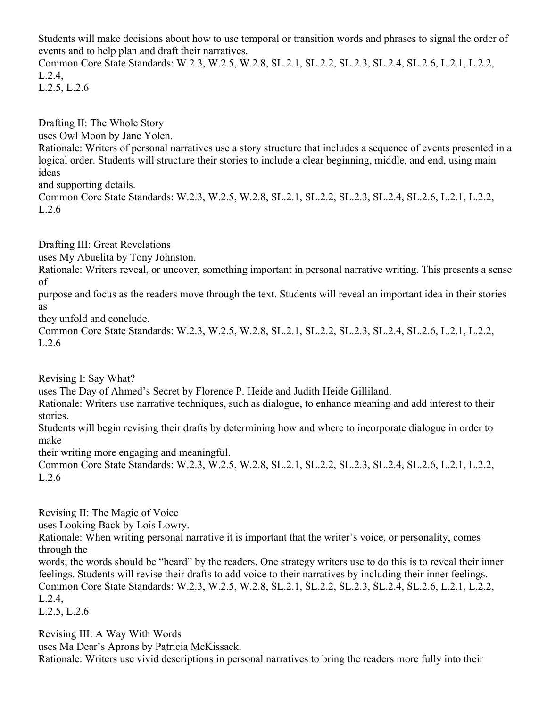Students will make decisions about how to use temporal or transition words and phrases to signal the order of events and to help plan and draft their narratives.

Common Core State Standards: W.2.3, W.2.5, W.2.8, SL.2.1, SL.2.2, SL.2.3, SL.2.4, SL.2.6, L.2.1, L.2.2, L.2.4,

L.2.5, L.2.6

Drafting II: The Whole Story

uses Owl Moon by Jane Yolen.

Rationale: Writers of personal narratives use a story structure that includes a sequence of events presented in a logical order. Students will structure their stories to include a clear beginning, middle, and end, using main ideas

and supporting details.

Common Core State Standards: W.2.3, W.2.5, W.2.8, SL.2.1, SL.2.2, SL.2.3, SL.2.4, SL.2.6, L.2.1, L.2.2, L.2.6

Drafting III: Great Revelations

uses My Abuelita by Tony Johnston.

Rationale: Writers reveal, or uncover, something important in personal narrative writing. This presents a sense of

purpose and focus as the readers move through the text. Students will reveal an important idea in their stories as

they unfold and conclude.

Common Core State Standards: W.2.3, W.2.5, W.2.8, SL.2.1, SL.2.2, SL.2.3, SL.2.4, SL.2.6, L.2.1, L.2.2, L.2.6

Revising I: Say What?

uses The Day of Ahmed's Secret by Florence P. Heide and Judith Heide Gilliland.

Rationale: Writers use narrative techniques, such as dialogue, to enhance meaning and add interest to their stories.

Students will begin revising their drafts by determining how and where to incorporate dialogue in order to make

their writing more engaging and meaningful.

Common Core State Standards: W.2.3, W.2.5, W.2.8, SL.2.1, SL.2.2, SL.2.3, SL.2.4, SL.2.6, L.2.1, L.2.2, L.2.6

Revising II: The Magic of Voice

uses Looking Back by Lois Lowry.

Rationale: When writing personal narrative it is important that the writer's voice, or personality, comes through the

words; the words should be "heard" by the readers. One strategy writers use to do this is to reveal their inner feelings. Students will revise their drafts to add voice to their narratives by including their inner feelings. Common Core State Standards: W.2.3, W.2.5, W.2.8, SL.2.1, SL.2.2, SL.2.3, SL.2.4, SL.2.6, L.2.1, L.2.2, L.2.4,

L.2.5, L.2.6

Revising III: A Way With Words

uses Ma Dear's Aprons by Patricia McKissack.

Rationale: Writers use vivid descriptions in personal narratives to bring the readers more fully into their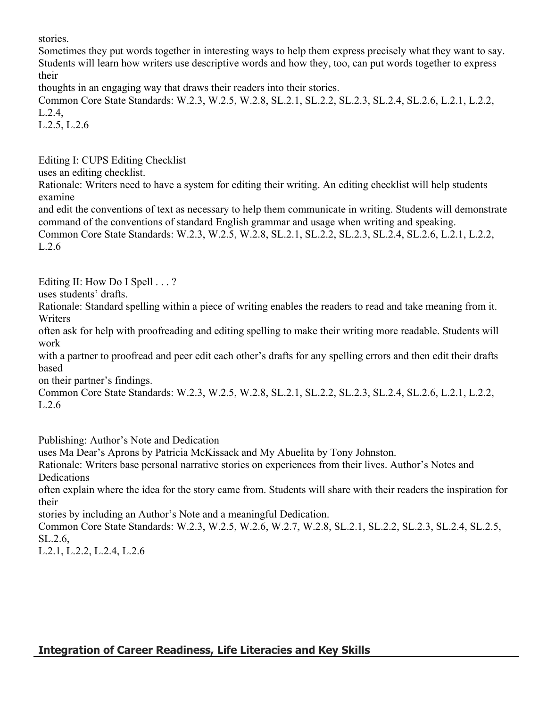stories.

Sometimes they put words together in interesting ways to help them express precisely what they want to say. Students will learn how writers use descriptive words and how they, too, can put words together to express their

thoughts in an engaging way that draws their readers into their stories.

Common Core State Standards: W.2.3, W.2.5, W.2.8, SL.2.1, SL.2.2, SL.2.3, SL.2.4, SL.2.6, L.2.1, L.2.2, L.2.4,

L.2.5, L.2.6

Editing I: CUPS Editing Checklist

uses an editing checklist.

Rationale: Writers need to have a system for editing their writing. An editing checklist will help students examine

and edit the conventions of text as necessary to help them communicate in writing. Students will demonstrate command of the conventions of standard English grammar and usage when writing and speaking.

Common Core State Standards: W.2.3, W.2.5, W.2.8, SL.2.1, SL.2.2, SL.2.3, SL.2.4, SL.2.6, L.2.1, L.2.2, L.2.6

Editing II: How Do I Spell . . . ?

uses students' drafts.

Rationale: Standard spelling within a piece of writing enables the readers to read and take meaning from it. **Writers** 

often ask for help with proofreading and editing spelling to make their writing more readable. Students will work

with a partner to proofread and peer edit each other's drafts for any spelling errors and then edit their drafts based

on their partner's findings.

Common Core State Standards: W.2.3, W.2.5, W.2.8, SL.2.1, SL.2.2, SL.2.3, SL.2.4, SL.2.6, L.2.1, L.2.2, L.2.6

Publishing: Author's Note and Dedication

uses Ma Dear's Aprons by Patricia McKissack and My Abuelita by Tony Johnston.

Rationale: Writers base personal narrative stories on experiences from their lives. Author's Notes and Dedications

often explain where the idea for the story came from. Students will share with their readers the inspiration for their

stories by including an Author's Note and a meaningful Dedication.

Common Core State Standards: W.2.3, W.2.5, W.2.6, W.2.7, W.2.8, SL.2.1, SL.2.2, SL.2.3, SL.2.4, SL.2.5, SL.2.6,

L.2.1, L.2.2, L.2.4, L.2.6

# **Integration of Career Readiness, Life Literacies and Key Skills**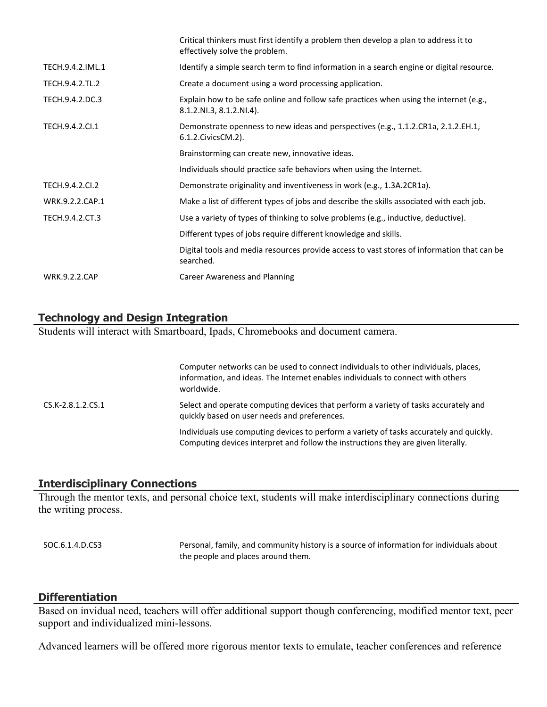|                      | Critical thinkers must first identify a problem then develop a plan to address it to<br>effectively solve the problem. |
|----------------------|------------------------------------------------------------------------------------------------------------------------|
| TECH.9.4.2.IML.1     | Identify a simple search term to find information in a search engine or digital resource.                              |
| TECH.9.4.2.TL.2      | Create a document using a word processing application.                                                                 |
| TECH.9.4.2.DC.3      | Explain how to be safe online and follow safe practices when using the internet (e.g.,<br>8.1.2.NI.3, 8.1.2.NI.4).     |
| TECH.9.4.2.Cl.1      | Demonstrate openness to new ideas and perspectives (e.g., 1.1.2.CR1a, 2.1.2.EH.1,<br>6.1.2. Civics CM. 2).             |
|                      | Brainstorming can create new, innovative ideas.                                                                        |
|                      | Individuals should practice safe behaviors when using the Internet.                                                    |
| TECH.9.4.2.Cl.2      | Demonstrate originality and inventiveness in work (e.g., 1.3A.2CR1a).                                                  |
| WRK.9.2.2.CAP.1      | Make a list of different types of jobs and describe the skills associated with each job.                               |
| TECH.9.4.2.CT.3      | Use a variety of types of thinking to solve problems (e.g., inductive, deductive).                                     |
|                      | Different types of jobs require different knowledge and skills.                                                        |
|                      | Digital tools and media resources provide access to vast stores of information that can be<br>searched.                |
| <b>WRK.9.2.2.CAP</b> | Career Awareness and Planning                                                                                          |
|                      |                                                                                                                        |

## **Technology and Design Integration**

Students will interact with Smartboard, Ipads, Chromebooks and document camera.

Computer networks can be used to connect individuals to other individuals, places, information, and ideas. The Internet enables individuals to connect with others worldwide. CS.K-2.8.1.2.CS.1 Select and operate computing devices that perform a variety of tasks accurately and quickly based on user needs and preferences. Individuals use computing devices to perform a variety of tasks accurately and quickly. Computing devices interpret and follow the instructions they are given literally.

#### **Interdisciplinary Connections**

Through the mentor texts, and personal choice text, students will make interdisciplinary connections during the writing process.

SOC.6.1.4.D.CS3 Personal, family, and community history is a source of information for individuals about the people and places around them.

#### **Differentiation**

Based on invidual need, teachers will offer additional support though conferencing, modified mentor text, peer support and individualized mini-lessons.

Advanced learners will be offered more rigorous mentor texts to emulate, teacher conferences and reference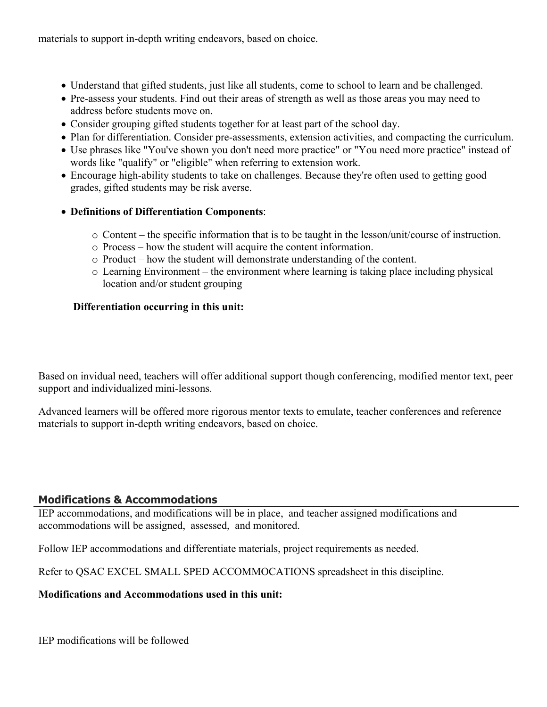materials to support in-depth writing endeavors, based on choice.

- Understand that gifted students, just like all students, come to school to learn and be challenged.
- Pre-assess your students. Find out their areas of strength as well as those areas you may need to address before students move on.
- Consider grouping gifted students together for at least part of the school day.
- Plan for differentiation. Consider pre-assessments, extension activities, and compacting the curriculum.
- Use phrases like "You've shown you don't need more practice" or "You need more practice" instead of words like "qualify" or "eligible" when referring to extension work.
- Encourage high-ability students to take on challenges. Because they're often used to getting good grades, gifted students may be risk averse.
- **Definitions of Differentiation Components**:
	- o Content the specific information that is to be taught in the lesson/unit/course of instruction.
	- o Process how the student will acquire the content information.
	- o Product how the student will demonstrate understanding of the content.
	- o Learning Environment the environment where learning is taking place including physical location and/or student grouping

## **Differentiation occurring in this unit:**

Based on invidual need, teachers will offer additional support though conferencing, modified mentor text, peer support and individualized mini-lessons.

Advanced learners will be offered more rigorous mentor texts to emulate, teacher conferences and reference materials to support in-depth writing endeavors, based on choice.

## **Modifications & Accommodations**

IEP accommodations, and modifications will be in place, and teacher assigned modifications and accommodations will be assigned, assessed, and monitored.

Follow IEP accommodations and differentiate materials, project requirements as needed.

Refer to QSAC EXCEL SMALL SPED ACCOMMOCATIONS spreadsheet in this discipline.

#### **Modifications and Accommodations used in this unit:**

IEP modifications will be followed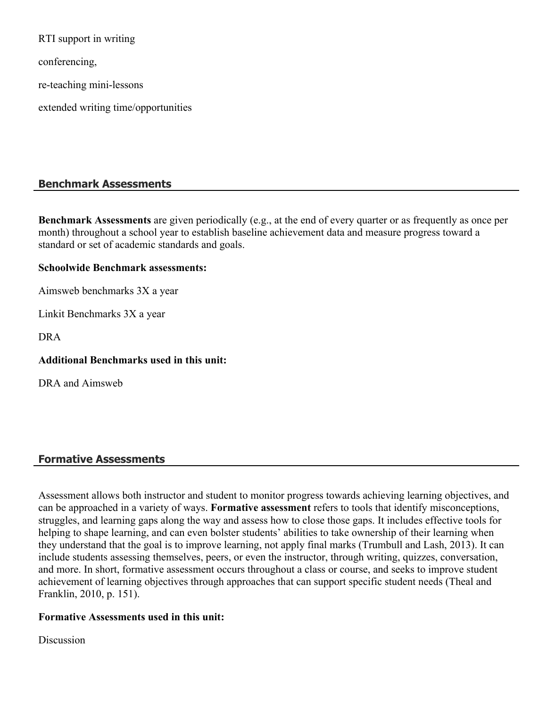RTI support in writing

conferencing,

re-teaching mini-lessons

extended writing time/opportunities

## **Benchmark Assessments**

**Benchmark Assessments** are given periodically (e.g., at the end of every quarter or as frequently as once per month) throughout a school year to establish baseline achievement data and measure progress toward a standard or set of academic standards and goals.

#### **Schoolwide Benchmark assessments:**

Aimsweb benchmarks 3X a year

Linkit Benchmarks 3X a year

DRA

**Additional Benchmarks used in this unit:**

DRA and Aimsweb

#### **Formative Assessments**

Assessment allows both instructor and student to monitor progress towards achieving learning objectives, and can be approached in a variety of ways. **Formative assessment** refers to tools that identify misconceptions, struggles, and learning gaps along the way and assess how to close those gaps. It includes effective tools for helping to shape learning, and can even bolster students' abilities to take ownership of their learning when they understand that the goal is to improve learning, not apply final marks (Trumbull and Lash, 2013). It can include students assessing themselves, peers, or even the instructor, through writing, quizzes, conversation, and more. In short, formative assessment occurs throughout a class or course, and seeks to improve student achievement of learning objectives through approaches that can support specific student needs (Theal and Franklin, 2010, p. 151).

#### **Formative Assessments used in this unit:**

**Discussion**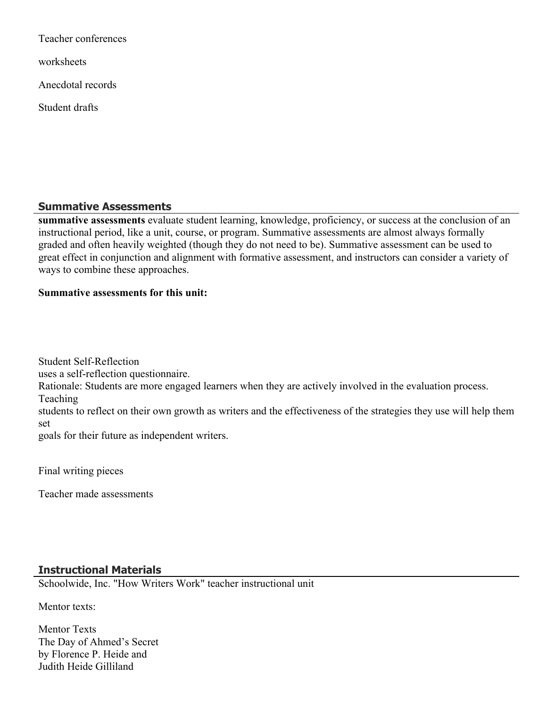Teacher conferences worksheets Anecdotal records Student drafts

## **Summative Assessments**

**summative assessments** evaluate student learning, knowledge, proficiency, or success at the conclusion of an instructional period, like a unit, course, or program. Summative assessments are almost always formally graded and often heavily weighted (though they do not need to be). Summative assessment can be used to great effect in conjunction and alignment with formative assessment, and instructors can consider a variety of ways to combine these approaches.

#### **Summative assessments for this unit:**

Student Self-Reflection

uses a self-reflection questionnaire.

Rationale: Students are more engaged learners when they are actively involved in the evaluation process.

Teaching

students to reflect on their own growth as writers and the effectiveness of the strategies they use will help them set

goals for their future as independent writers.

Final writing pieces

Teacher made assessments

## **Instructional Materials**

Schoolwide, Inc. "How Writers Work" teacher instructional unit

Mentor texts:

Mentor Texts The Day of Ahmed's Secret by Florence P. Heide and Judith Heide Gilliland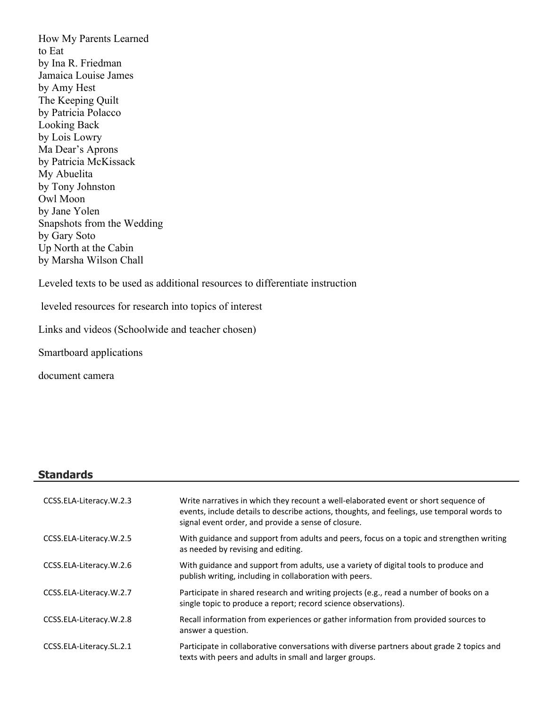How My Parents Learned to Eat by Ina R. Friedman Jamaica Louise James by Amy Hest The Keeping Quilt by Patricia Polacco Looking Back by Lois Lowry Ma Dear's Aprons by Patricia McKissack My Abuelita by Tony Johnston Owl Moon by Jane Yolen Snapshots from the Wedding by Gary Soto Up North at the Cabin by Marsha Wilson Chall

Leveled texts to be used as additional resources to differentiate instruction

leveled resources for research into topics of interest

Links and videos (Schoolwide and teacher chosen)

Smartboard applications

document camera

#### **Standards**

| CCSS.ELA-Literacy.W.2.3  | Write narratives in which they recount a well-elaborated event or short sequence of<br>events, include details to describe actions, thoughts, and feelings, use temporal words to<br>signal event order, and provide a sense of closure. |
|--------------------------|------------------------------------------------------------------------------------------------------------------------------------------------------------------------------------------------------------------------------------------|
| CCSS.ELA-Literacy.W.2.5  | With guidance and support from adults and peers, focus on a topic and strengthen writing<br>as needed by revising and editing.                                                                                                           |
| CCSS.ELA-Literacy.W.2.6  | With guidance and support from adults, use a variety of digital tools to produce and<br>publish writing, including in collaboration with peers.                                                                                          |
| CCSS.ELA-Literacy.W.2.7  | Participate in shared research and writing projects (e.g., read a number of books on a<br>single topic to produce a report; record science observations).                                                                                |
| CCSS.ELA-Literacy.W.2.8  | Recall information from experiences or gather information from provided sources to<br>answer a question.                                                                                                                                 |
| CCSS.ELA-Literacy.SL.2.1 | Participate in collaborative conversations with diverse partners about grade 2 topics and<br>texts with peers and adults in small and larger groups.                                                                                     |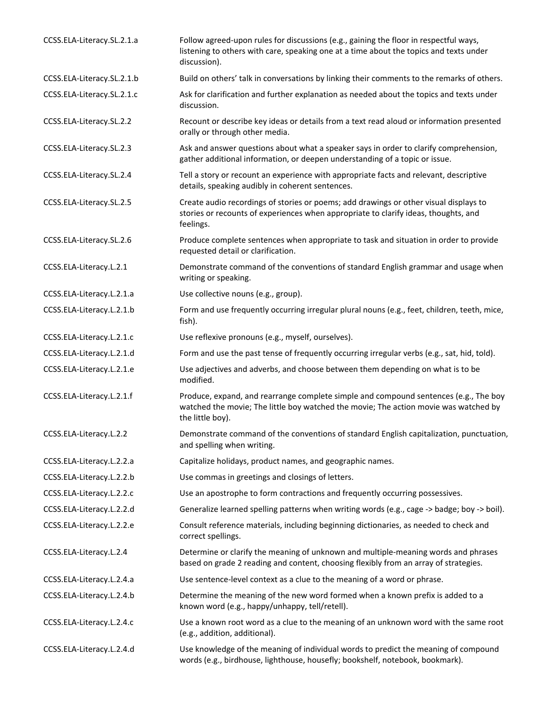| CCSS.ELA-Literacy.SL.2.1.a | Follow agreed-upon rules for discussions (e.g., gaining the floor in respectful ways,<br>listening to others with care, speaking one at a time about the topics and texts under<br>discussion).  |
|----------------------------|--------------------------------------------------------------------------------------------------------------------------------------------------------------------------------------------------|
| CCSS.ELA-Literacy.SL.2.1.b | Build on others' talk in conversations by linking their comments to the remarks of others.                                                                                                       |
| CCSS.ELA-Literacy.SL.2.1.c | Ask for clarification and further explanation as needed about the topics and texts under<br>discussion.                                                                                          |
| CCSS.ELA-Literacy.SL.2.2   | Recount or describe key ideas or details from a text read aloud or information presented<br>orally or through other media.                                                                       |
| CCSS.ELA-Literacy.SL.2.3   | Ask and answer questions about what a speaker says in order to clarify comprehension,<br>gather additional information, or deepen understanding of a topic or issue.                             |
| CCSS.ELA-Literacy.SL.2.4   | Tell a story or recount an experience with appropriate facts and relevant, descriptive<br>details, speaking audibly in coherent sentences.                                                       |
| CCSS.ELA-Literacy.SL.2.5   | Create audio recordings of stories or poems; add drawings or other visual displays to<br>stories or recounts of experiences when appropriate to clarify ideas, thoughts, and<br>feelings.        |
| CCSS.ELA-Literacy.SL.2.6   | Produce complete sentences when appropriate to task and situation in order to provide<br>requested detail or clarification.                                                                      |
| CCSS.ELA-Literacy.L.2.1    | Demonstrate command of the conventions of standard English grammar and usage when<br>writing or speaking.                                                                                        |
| CCSS.ELA-Literacy.L.2.1.a  | Use collective nouns (e.g., group).                                                                                                                                                              |
| CCSS.ELA-Literacy.L.2.1.b  | Form and use frequently occurring irregular plural nouns (e.g., feet, children, teeth, mice,<br>fish).                                                                                           |
| CCSS.ELA-Literacy.L.2.1.c  | Use reflexive pronouns (e.g., myself, ourselves).                                                                                                                                                |
| CCSS.ELA-Literacy.L.2.1.d  | Form and use the past tense of frequently occurring irregular verbs (e.g., sat, hid, told).                                                                                                      |
| CCSS.ELA-Literacy.L.2.1.e  | Use adjectives and adverbs, and choose between them depending on what is to be<br>modified.                                                                                                      |
| CCSS.ELA-Literacy.L.2.1.f  | Produce, expand, and rearrange complete simple and compound sentences (e.g., The boy<br>watched the movie; The little boy watched the movie; The action movie was watched by<br>the little boy). |
| CCSS.ELA-Literacy.L.2.2    | Demonstrate command of the conventions of standard English capitalization, punctuation,<br>and spelling when writing.                                                                            |
| CCSS.ELA-Literacy.L.2.2.a  | Capitalize holidays, product names, and geographic names.                                                                                                                                        |
| CCSS.ELA-Literacy.L.2.2.b  | Use commas in greetings and closings of letters.                                                                                                                                                 |
| CCSS.ELA-Literacy.L.2.2.c  | Use an apostrophe to form contractions and frequently occurring possessives.                                                                                                                     |
| CCSS.ELA-Literacy.L.2.2.d  | Generalize learned spelling patterns when writing words (e.g., cage -> badge; boy -> boil).                                                                                                      |
| CCSS.ELA-Literacy.L.2.2.e  | Consult reference materials, including beginning dictionaries, as needed to check and<br>correct spellings.                                                                                      |
| CCSS.ELA-Literacy.L.2.4    | Determine or clarify the meaning of unknown and multiple-meaning words and phrases<br>based on grade 2 reading and content, choosing flexibly from an array of strategies.                       |
| CCSS.ELA-Literacy.L.2.4.a  | Use sentence-level context as a clue to the meaning of a word or phrase.                                                                                                                         |
| CCSS.ELA-Literacy.L.2.4.b  | Determine the meaning of the new word formed when a known prefix is added to a<br>known word (e.g., happy/unhappy, tell/retell).                                                                 |
| CCSS.ELA-Literacy.L.2.4.c  | Use a known root word as a clue to the meaning of an unknown word with the same root<br>(e.g., addition, additional).                                                                            |
| CCSS.ELA-Literacy.L.2.4.d  | Use knowledge of the meaning of individual words to predict the meaning of compound<br>words (e.g., birdhouse, lighthouse, housefly; bookshelf, notebook, bookmark).                             |